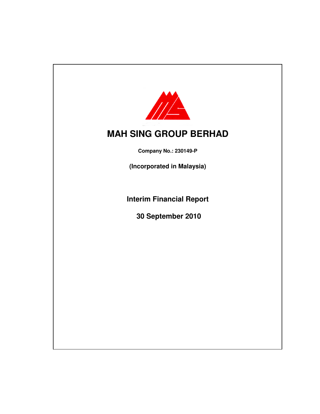

**Company No.: 230149-P**

**(Incorporated in Malaysia)**

**Interim Financial Report**

**30 September 2010**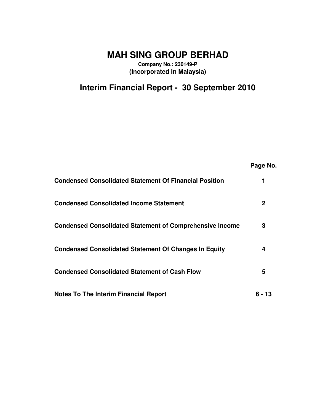**Company No.: 230149-P (Incorporated in Malaysia)**

# **Interim Financial Report - 30 September 2010**

|                                                                 | Page No. |
|-----------------------------------------------------------------|----------|
| <b>Condensed Consolidated Statement Of Financial Position</b>   |          |
| <b>Condensed Consolidated Income Statement</b>                  | 2        |
| <b>Condensed Consolidated Statement of Comprehensive Income</b> | 3        |
| <b>Condensed Consolidated Statement Of Changes In Equity</b>    | 4        |
| <b>Condensed Consolidated Statement of Cash Flow</b>            | 5        |
| Notes To The Interim Financial Report                           | ճ - 13   |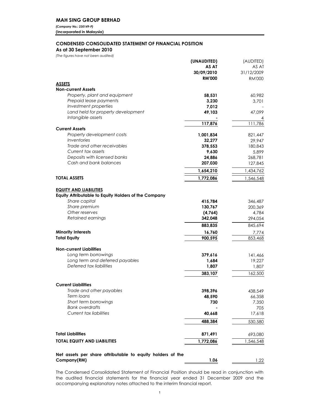(Company No.: 230149-P) (Incorporated in Malaysia)

## **CONDENSED CONSOLIDATED STATEMENT OF FINANCIAL POSITION**

As at 30 September 2010

(The figures have not been audited)

|                                                             | (UNAUDITED)<br>AS AT<br>30/09/2010 | (AUDITED)<br>AS AT<br>31/12/2009 |
|-------------------------------------------------------------|------------------------------------|----------------------------------|
| <b>ASSETS</b>                                               | <b>RM'000</b>                      | <b>RM'000</b>                    |
| <b>Non-current Assets</b>                                   |                                    |                                  |
| Property, plant and equipment                               | 58,531                             | 60,982                           |
| Prepaid lease payments                                      | 3,230                              | 3,701                            |
| Investment properties                                       | 7,012                              |                                  |
| Land held for property development                          | 49,103                             | 47,099                           |
| Intangible assets                                           |                                    |                                  |
|                                                             | 117,876                            | 111,786                          |
| <b>Current Assets</b>                                       |                                    |                                  |
| Property development costs<br>Inventories                   | 1,001,834<br>32,277                | 821,447<br>29,947                |
| Trade and other receivables                                 | 378,553                            | 180,843                          |
| Current tax assets                                          | 9,630                              | 5,899                            |
| Deposits with licensed banks                                | 24,886                             | 268,781                          |
| Cash and bank balances                                      | 207,030                            | 127,845                          |
|                                                             | 1,654,210                          | 1,434,762                        |
| <b>TOTAL ASSETS</b>                                         | 1,772,086                          | 1,546,548                        |
|                                                             |                                    |                                  |
| <b>EQUITY AND LIABILITIES</b>                               |                                    |                                  |
| <b>Equity Attributable to Equity Holders of the Company</b> |                                    |                                  |
| Share capital                                               | 415,784                            | 346,487                          |
| Share premium                                               | 130,767                            | 200,369                          |
| Other reserves                                              | (4,764)                            | 4,784                            |
| Retained earnings                                           | 342,048                            | 294,054                          |
|                                                             | 883,835                            | 845,694                          |
| <b>Minority Interests</b>                                   | 16,760                             | 7,774                            |
| <b>Total Equity</b>                                         | 900,595                            | 853,468                          |
| <b>Non-current Liabilities</b>                              |                                    |                                  |
| Long term borrowings                                        | 379,616                            | 141,466                          |
| Long term and deferred payables                             | 1,684                              | 19,227                           |
| Deferred tax liabilities                                    | 1,807                              | 1,807                            |
|                                                             | 383,107                            | 162,500                          |
|                                                             |                                    |                                  |
| <b>Current Liabilities</b>                                  |                                    |                                  |
| Trade and other payables                                    | 398,396                            | 438,549                          |
| Term loans                                                  | 48,590                             | 66,358                           |
| Short term borrowings                                       | 730                                | 7,350                            |
| <b>Bank overdrafts</b>                                      |                                    | 705                              |
| <b>Current tax liabilities</b>                              | 40,668                             | 17,618                           |
|                                                             | 488,384                            | 530,580                          |
| <b>Total Liabilities</b>                                    | 871,491                            | 693,080                          |
| <b>TOTAL EQUITY AND LIABILITIES</b>                         | 1,772,086                          | 1,546,548                        |
|                                                             |                                    |                                  |
| Net assets per share attributable to equity holders of the  |                                    |                                  |
| Company(RM)                                                 | 1.06                               | 1.22                             |
|                                                             |                                    |                                  |

The Condensed Consolidated Statement of Financial Position should be read in conjunction with the audited financial statements for the financial year ended 31 December 2009 and the accompanying explanatory notes attached to the interim financial report.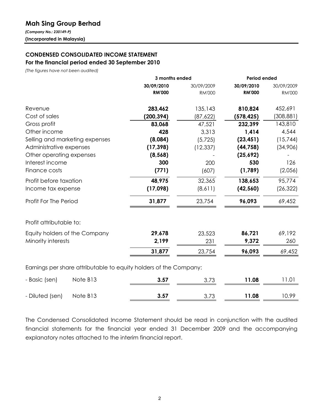## **Mah Sing Group Berhad**

(Company No.: 230149-P) (Incorporated in Malaysia)

## **CONDENSED CONSOLIDATED INCOME STATEMENT** For the financial period ended 30 September 2010

(The figures have not been audited)

|                                                                  | 3 months ended |               | Period ended  |               |
|------------------------------------------------------------------|----------------|---------------|---------------|---------------|
|                                                                  | 30/09/2010     | 30/09/2009    | 30/09/2010    | 30/09/2009    |
|                                                                  | <b>RM'000</b>  | <b>RM'000</b> | <b>RM'000</b> | <b>RM'000</b> |
| Revenue                                                          | 283,462        | 135,143       | 810,824       | 452,691       |
| Cost of sales                                                    | (200, 394)     | (87,622)      | (578, 425)    | (308, 881)    |
| Gross profit                                                     | 83,068         | 47,521        | 232,399       | 143,810       |
| Other income                                                     | 428            | 3,313         | 1,414         | 4,544         |
| Selling and marketing expenses                                   | (8,084)        | (5, 725)      | (23, 451)     | (15,744)      |
| Administrative expenses                                          | (17, 398)      | (12, 337)     | (44, 758)     | (34,906)      |
| Other operating expenses                                         | (8, 568)       |               | (25,692)      |               |
| Interest income                                                  | 300            | 200           | 530           | 126           |
| Finance costs                                                    | (771)          | (607)         | (1,789)       | (2,056)       |
| Profit before taxation                                           | 48,975         | 32,365        | 138,653       | 95,774        |
| Income tax expense                                               | (17,098)       | (8,611)       | (42, 560)     | (26, 322)     |
| Profit For The Period                                            | 31,877         | 23,754        | 96,093        | 69,452        |
| Profit attributable to:                                          |                |               |               |               |
| Equity holders of the Company                                    | 29,678         | 23,523        | 86,721        | 69,192        |
| Minority interests                                               | 2,199          | 231           | 9,372         | 260           |
|                                                                  | 31,877         | 23,754        | 96,093        | 69,452        |
| Earnings par share attributable to caujty bolders of the Campany |                |               |               |               |

Earnings per share attributable to equity holders of the Company:

| - Basic (sen)            | Note B13 | 3.57 | 3.73 | 11.08 | 1.01  |
|--------------------------|----------|------|------|-------|-------|
| - Diluted (sen) Note B13 |          | 3.57 | 3.73 | 11.08 | 10.99 |

The Condensed Consolidated Income Statement should be read in conjunction with the audited financial statements for the financial year ended 31 December 2009 and the accompanying explanatory notes attached to the interim financial report.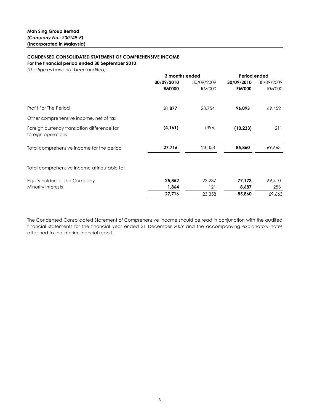### **CONDENSED CONSOLIDATED STATEMENT OF COMPREHENSIVE INCOME**

For the financial period ended 30 September 2010

(The figures have not been audited)

| 3 months ended |               |               |               |
|----------------|---------------|---------------|---------------|
| 30/09/2010     | 30/09/2009    | 30/09/2010    | 30/09/2009    |
| <b>RM'000</b>  | <b>RM'000</b> | <b>RM'000</b> | <b>RM'000</b> |
| 31,877         | 23,754        | 96,093        | 69,452        |
|                |               |               |               |
| (4, 161)       | (396)         | (10, 233)     | 211           |
| 27,716         | 23,358        | 85,860        | 69,663        |
|                |               |               |               |
| 25,852         | 23,237        | 77,173        | 69,410        |
| 1,864          | 121           | 8,687         | 253           |
| 27,716         | 23,358        | 85,860        | 69,663        |
|                |               |               | Period ended  |

The Condensed Consolidated Statement of Comprehensive Income should be read in conjunction with the audited financial statements for the financial year ended 31 December 2009 and the accompanying explanatory notes attached to the interim financial report.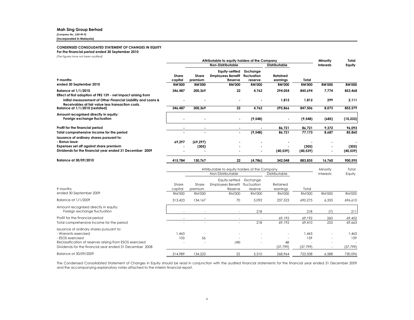#### **Mah Sing Group Berhad**

(Company No.: 230149-P)

(Incorporated in Malaysia)

#### **CONDENSED CONSOLIDATED STATEMENT OF CHANGES IN EQUITY**

For the financial period ended 30 September 2010

(The figures have not been audited)

| inia ligoras have hor been aballea)                                                                               |                  |                                           | Attributable to equity holders of the Company         |                                    |                      |               | Minority      | Total         |
|-------------------------------------------------------------------------------------------------------------------|------------------|-------------------------------------------|-------------------------------------------------------|------------------------------------|----------------------|---------------|---------------|---------------|
|                                                                                                                   |                  | Non-Distributable<br><b>Distributable</b> |                                                       |                                    | <b>Interests</b>     | Equity        |               |               |
| 9 months                                                                                                          | Share<br>capital | Share<br>premium                          | Equity-settled<br><b>Employees Benefit</b><br>Reserve | Exchange<br>fluctuation<br>reserve | Retained<br>earnings | Total         |               |               |
| ended 30 September 2010                                                                                           | <b>RM'000</b>    | <b>RM'000</b>                             | <b>RM'000</b>                                         | <b>RM'000</b>                      | <b>RM'000</b>        | <b>RM'000</b> | <b>RM'000</b> | <b>RM'000</b> |
| Balance at 1/1/2010<br>Effect of first adoption of FRS 139 - net impact arising from                              | 346,487          | 200,369                                   | 22                                                    | 4,762                              | 294,054              | 845,694       | 7,774         | 853,468       |
| initial measurement of Other Financial Liability and Loans &<br>Receivables at fair value less transaction costs. |                  |                                           |                                                       |                                    | 1,812                | 1,812         | 299           | 2,111         |
| Balance at 1/1/2010 (restated)                                                                                    | 346,487          | 200,369                                   | $22 \,$                                               | 4,762                              | 295,866              | 847,506       | 8,073         | 855,579       |
| Amount recognised directly in equity:<br>Foreign exchange fluctuation                                             |                  | ٠                                         | $\blacksquare$                                        | (9, 548)                           | ٠                    | (9, 548)      | (685)         | (10, 233)     |
| Profit for the financial period                                                                                   |                  |                                           |                                                       |                                    | 86,721               | 86,721        | 9,372         | 96,093        |
| Total comprehensive income for the period                                                                         |                  | ۰                                         | ٠                                                     | (9, 548)                           | 86,721               | 77,173        | 8,687         | 85,860        |
| Issuance of ordinary shares pursuant to:<br>- Bonus issue                                                         | 69,297           | (69, 297)                                 | ۰                                                     |                                    |                      |               |               |               |
| Expenses set off against share premium                                                                            |                  | (305)                                     |                                                       |                                    |                      | (305)         |               | (305)         |
| Dividends for the financial year ended 31 December 2009                                                           |                  |                                           | ٠                                                     |                                    | (40, 539)            | (40, 539)     | ۰             | (40, 539)     |
| Balance at 30/09/2010                                                                                             | 415784           | 130 767                                   | 22                                                    | (4786)                             | 342 048              | 883835        | 16 760        | 900 595       |

|                                                                                                                                                                                                             | Attributable to equity holders of the Company |                  |                                                       |                                    |                           |                           | Minority                                             | Total                    |
|-------------------------------------------------------------------------------------------------------------------------------------------------------------------------------------------------------------|-----------------------------------------------|------------------|-------------------------------------------------------|------------------------------------|---------------------------|---------------------------|------------------------------------------------------|--------------------------|
|                                                                                                                                                                                                             | Non-Distributable<br>Distributable            |                  |                                                       | <b>Interests</b>                   | Equity                    |                           |                                                      |                          |
| 9 months                                                                                                                                                                                                    | Share<br>capital                              | Share<br>premium | Equity-settled<br><b>Employees Benefit</b><br>Reserve | Exchange<br>fluctuation<br>reserve | Retained<br>earnings      | Total                     |                                                      |                          |
| ended 30 September 2009                                                                                                                                                                                     | <b>RM'000</b>                                 | <b>RM'000</b>    | <b>RM'000</b>                                         | <b>RM'000</b>                      | <b>RM'000</b>             | <b>RM'000</b>             | <b>RM'000</b>                                        | <b>RM'000</b>            |
| Balance at 1/1/2009                                                                                                                                                                                         | 313,423                                       | 134,167          | 70                                                    | 5,092                              | 237,523                   | 690,275                   | 6,335                                                | 696,610                  |
| Amount recognised directly in equity:<br>Foreign exchange fluctuation                                                                                                                                       |                                               |                  | $\overline{\phantom{a}}$                              | 218                                |                           | 218                       | (7)                                                  | 211                      |
| Profit for the financial period                                                                                                                                                                             |                                               |                  | $\overline{\phantom{a}}$                              |                                    | 69,192                    | 69,192                    | 260                                                  | 69,452                   |
| Total comprehensive income for the period                                                                                                                                                                   |                                               |                  | -                                                     | 218                                | 69,192                    | 69,410                    | 253                                                  | 69,663                   |
| Issuance of ordinary shares pursuant to:<br>- Warrants exercised<br>- ESOS exercised<br>Reclassification of reserves arising from ESOS exercised<br>Dividends for the financial year ended 31 December 2008 | 1.463<br>103<br>$\overline{\phantom{a}}$      | 56               | (48)                                                  |                                    | $\sim$<br>48<br>(37, 799) | 1.463<br>159<br>(37, 799) | $\overline{\phantom{a}}$<br>$\overline{\phantom{a}}$ | ,463<br>159<br>(37, 799) |
| Balance at 30/09/2009                                                                                                                                                                                       | 314,989                                       | 134,223          | 22                                                    | 5,310                              | 268,964                   | 723,508                   | 6,588                                                | 730,096                  |

The Condensed Consolidated Statement of Changes in Equity should be read in conjunction with the audited financial statements for the financial year ended 31 December 2009 and the accompanying explanatory notes attached to the interim financial report.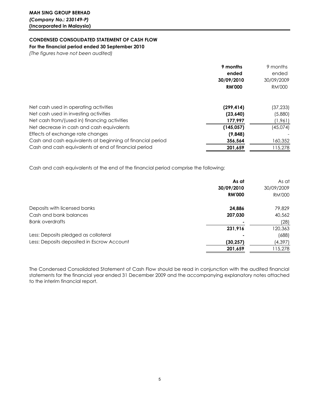## **CONDENSED CONSOLIDATED STATEMENT OF CASH FLOW**

For the financial period ended 30 September 2010

(The figures have not been audited)

|                                                            | 9 months      | 9 months      |
|------------------------------------------------------------|---------------|---------------|
|                                                            | ended         | ended         |
|                                                            | 30/09/2010    | 30/09/2009    |
|                                                            | <b>RM'000</b> | <b>RM'000</b> |
| Net cash used in operating activities                      | (299, 414)    | (37,233)      |
| Net cash used in investing activities                      | (23, 640)     | (5,880)       |
| Net cash from/(used in) financing activities               | 177.997       | (1,961)       |
| Net decrease in cash and cash equivalents                  | (145, 057)    | (45,074)      |
| Effects of exchange rate changes                           | (9,848)       |               |
| Cash and cash equivalents at beginning of financial period | 356,564       | 160,352       |
| Cash and cash equivalents at end of financial period       | 201.659       | 115,278       |

Cash and cash equivalents at the end of the financial period comprise the following:

|                                            | As at         | As at         |
|--------------------------------------------|---------------|---------------|
|                                            | 30/09/2010    | 30/09/2009    |
|                                            | <b>RM'000</b> | <b>RM'000</b> |
| Deposits with licensed banks               | 24,886        | 79,829        |
| Cash and bank balances                     | 207,030       | 40,562        |
| <b>Bank overdrafts</b>                     |               | (28)          |
|                                            | 231,916       | 120,363       |
| Less: Deposits pledged as collateral       |               | (688)         |
| Less: Deposits deposited in Escrow Account | (30, 257)     | (4, 397)      |
|                                            | 201,659       | 115,278       |

The Condensed Consolidated Statement of Cash Flow should be read in conjunction with the audited financial statements for the financial year ended 31 December 2009 and the accompanying explanatory notes attached to the interim financial report.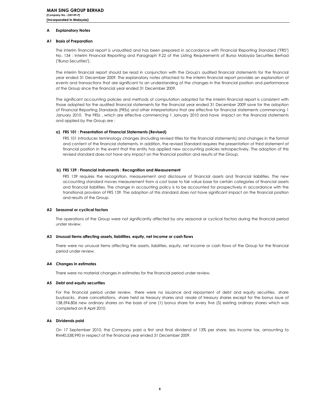#### A **Explanatory Notes**

#### A1 Basis of Preparation

The interim financial report is unaudited and has been prepared in accordance with Financial Reporting Standard ("FRS") No. 134 : Interim Financial Reporting and Paragraph 9.22 of the Listing Requirements of Bursa Malaysia Securities Berhad ("Bursa Securities").

The interim financial report should be read in conjunction with the Group's audited financial statements for the financial year ended 31 December 2009. The explanatory notes attached to the interim financial report provides an explanation of events and transactions that are significant to an understanding of the changes in the financial position and performance of the Group since the financial year ended 31 December 2009.

The significant accounting policies and methods of computation adopted for the interim financial report is consistent with those adopted for the audited financial statements for the financial year ended 31 December 2009 save for the adoption of Financial Reporting Standards (FRSs) and other interpretations that are effective for financial statements commencing 1 January 2010. The FRSs, which are effective commencing 1 January 2010 and have impact on the financial statements and applied by the Group are:

#### a) FRS 101 : Presentation of Financial Statements (Revised)

FRS 101 introduces terminology changes (including revised titles for the financial statements) and changes in the format and content of the financial statements. In addition, the revised Standard requires the presentation of third statement of financial position in the event that the entity has applied new accounting policies retrospectively. The adoption of this revised standard does not have any impact on the financial position and results of the Group.

#### b) FRS 139 : Financial Instruments : Recognition and Measurement

FRS 139 requires the recognition, measurement and disclosure of financial assets and financial liabilities. The new accounting standard moves measurement from a cost base to fair value base for certain categories of financial assets and financial liabilities. The change in accounting policy is to be accounted for prospectively in accordance with the transitional provision of FRS 139. The adoption of this standard does not have significant impact on the financial position and results of the Group.

#### A2 Seasonal or cyclical factors

The operations of the Group were not significantly affected by any seasonal or cyclical factors during the financial period under review.

#### A3 Unusual items affecting assets, liabilities, equity, net income or cash flows

There were no unusual items affecting the assets, liabilities, equity, net income or cash flows of the Group for the financial period under review.

#### A4 Changes in estimates

There were no material changes in estimates for the financial period under review.

#### A5 Debt and equity securities

For the financial period under review, there were no issuance and repayment of debt and equity securities, share buybacks, share cancellations, share held as treasury shares and resale of treasury shares except for the bonus issue of 138,594,806 new ordinary shares on the basis of one (1) bonus share for every five (5) existing ordinary shares which was completed on 8 April 2010.

#### A6 Dividends paid

On 17 September 2010, the Company paid a first and final dividend of 13% per share, less income tax, amounting to RM40,538,990 in respect of the financial year ended 31 December 2009.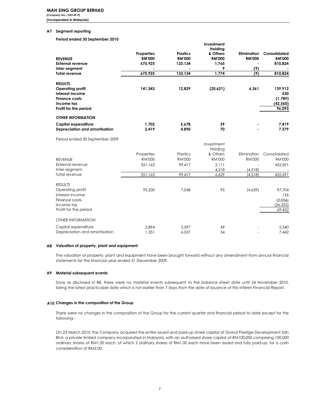(Incorporated in Malaysia)

#### A7 Segment reporting

Period ended 30 September 2010

|                                |                   |                 | Investment    |                    |               |
|--------------------------------|-------------------|-----------------|---------------|--------------------|---------------|
|                                |                   |                 | Holding       |                    |               |
|                                | <b>Properties</b> | <b>Plastics</b> | & Others      | <b>Elimination</b> | Consolidated  |
| <b>REVENUE</b>                 | <b>RM'000</b>     | <b>RM'000</b>   | <b>RM'000</b> | <b>RM'000</b>      | <b>RM'000</b> |
| <b>External revenue</b>        | 675,925           | 133,134         | 1,765         |                    | 810,824       |
| Inter-segment                  |                   |                 | 9             | (9)                |               |
| <b>Total revenue</b>           | 675,925           | 133, 134        | 1,774         | (9)                | 810,824       |
| <b>RESULTS</b>                 |                   |                 |               |                    |               |
| Operating profit               | 141,343           | 12,829          | (20,621)      | 6,361              | 139,912       |
| Interest income                |                   |                 |               |                    | 530           |
| <b>Finance costs</b>           |                   |                 |               |                    | (1,789)       |
| Income tax                     |                   |                 |               |                    | (42, 560)     |
| Profit for the period          |                   |                 |               |                    | 96,093        |
| <b>OTHER INFORMATION</b>       |                   |                 |               |                    |               |
| Capital expenditure            | 1.702             | 5.678           | 39            |                    | 7,419         |
| Depreciation and amortisation  | 2,419             | 4,890           | 70            |                    | 7,379         |
|                                |                   |                 |               |                    |               |
| Period ended 30 September 2009 |                   |                 |               |                    |               |
|                                |                   |                 | Investment    |                    |               |
|                                |                   |                 | Holding       |                    |               |
|                                | Properties        | Plastics        | & Others      | Elimination        | Consolidated  |
| <b>REVENUE</b>                 | <b>RM'000</b>     | <b>RM'000</b>   | <b>RM'000</b> | <b>RM'000</b>      | <b>RM'000</b> |
| External revenue               | 351,163           | 99,417          | 2.111         |                    | 452,691       |
| Inter-segment                  |                   |                 | 4,518         | (4, 518)           |               |
| Total revenue                  | 351,163           | 99,417          | 6,629         | (4, 518)           | 452,691       |
| <b>RESULTS</b>                 |                   |                 |               |                    |               |
| Operating profit               | 95.200            | 7,048           | 95            | (4,639)            | 97,704        |
| Interest income                |                   |                 |               |                    | 126           |
| Finance costs                  |                   |                 |               |                    | (2,056)       |
| Income tax                     |                   |                 |               |                    | (26, 322)     |
| Profit for the period          |                   |                 |               |                    | 69,452        |
| <b>OTHER INFORMATION</b>       |                   |                 |               |                    |               |
| Capital expenditure            | 2,894             | 2.597           | 49            |                    | 5,540         |
| Depreciation and amortisation  | 1,351             | 6,037           | 54            |                    | 7,442         |
|                                |                   |                 |               |                    |               |

#### A8 Valuation of property, plant and equipment

The valuation of property, plant and equipment have been brought forward without any amendment from annual financial statements for the financial year ended 31 December 2009.

#### A9 Material subsequent events

Save as disclosed in B8, there were no material events subsequent to the balance sheet date until 24 November 2010, being the latest practicable date which is not earlier than 7 days from the date of issuance of this Interim Financial Report.

#### A10 Changes in the composition of the Group

There were no changes in the composition of the Group for the current quarter and financial period to-date except for the following:-

On 23 March 2010, the Company acquired the entire issued and paid-up share capital of Grand Prestige Development Sdn Bhd, a private limited company incorporated in Malaysia, with an authorised share capital of RM100,000 comprising 100,000 ordinary shares of RM1.00 each, of which 2 ordinary shares of RM1.00 each have been issued and fully paid-up, for a cash consideratiion of RM2.00.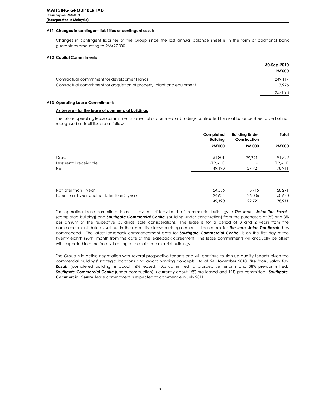### A11 Changes in contingent liabilities or contingent assets

Changes in contingent liabilities of the Group since the last annual balance sheet is in the form of additional bank guarantees amounting to RM497,000.

#### **A12 Capital Commitments**

|                                                                         | 30-Sep-2010   |
|-------------------------------------------------------------------------|---------------|
|                                                                         | <b>RM'000</b> |
| Contractual commitment for development lands                            | 249.117       |
| Contractual commitment for acquisition of property, plant and equipment | 7.976         |
|                                                                         | 257.093       |

#### A13 Operating Lease Commitments

#### As Lessee - for the lease of commercial buildings

The future operating lease commitments for rental of commercial buildings contracted for as at balance sheet date but not recognised as liabilities are as follows:-

|               | Construction             | Total         |
|---------------|--------------------------|---------------|
| <b>RM'000</b> | <b>RM'000</b>            | <b>RM'000</b> |
| 61,801        | 29.721                   | 91,522        |
| (12,611)      | $\overline{\phantom{a}}$ | (12,611)      |
| 49,190        | 29,721                   | 78,911        |
|               |                          | 00.071        |
|               | <b>Building</b><br>01E1  | 271F          |

| Not later than 1 year                        | 24.556 | 3.715  | 28.271 |
|----------------------------------------------|--------|--------|--------|
| Later than 1 year and not later than 3 years | 24.634 | 26.006 | 50,640 |
|                                              | 49.190 | 29.721 | 78.911 |

The operating lease commitments are in respect of leaseback of commercial buildings ie The Icon, Jalan Tun Razak (completed building) and **Southgate Commercial Centre** (building under construction) from the purchasers at 7% and 8% per annum of the respective buildings' sale considerations. The lease is for a period of 3 and 2 years from the commencement date as set out in the respective leaseback agreements. Leaseback for The Icon, Jalan Tun Razak has commenced. The latest leaseback commencement date for Southgate Commercial Centre is on the first day of the twenty eighth (28th) month from the date of the leaseback agreement. The lease commitments will gradually be offset with expected income from subletting of the said commercial buildings.

The Group is in active negotiation with several prospective tenants and will continue to sign up quality tenants given the commercial buildings' strategic locations and award winning concepts. As at 24 November 2010, The Icon, Jalan Tun Razak (completed building) is about 16% leased, 40% committed to prospective tenants and 38% pre-committed. Southgate Commercial Centre (under construction) is currently about 15% pre-leased and 12% pre-committed. Southgate Commercial Centre lease commitment is expected to commence in July 2011.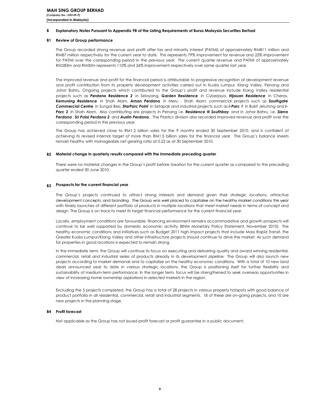#### B Explanatory Notes Pursuant to Appendix 9B of the Listing Requirements of Bursa Malaysia Securities Berhad

#### **B1** Review of Group performance

The Group recorded strong revenue and profit after tax and minority interest (PATMI) of approximately RM811 million and RM87 million respectively for the current year to date. This represents 79% improvement for revenue and 25% improvement for PATMI over the corresponding period in the previous year. The current quarter revenue and PATMI of approximately RM283m and RM30m represents 110% and 26% improvement respectively over same quarter last year.

The improved revenue and profit for the financial period is attributable to progressive recognition of development revenue and profit contribution from its property development activities carried out in Kuala Lumpur, Klang Valley, Penang and Johor Bahru. Ongoing projects which contributed to the Group's profit and revenue include Klang Valley residential projects such as Perdana Residence 2 in Selayang, Garden Residence in Cyberjaya, Hijauan Residence in Cheras, Kemuning Residence in Shah Alam, Aman Perdana in Meru - Shah Alam; commercial projects such as Southgate Commercial Centre in Sungai Besi, StarParc Point in Setapak and industrial projects such as i-Parc 1 in Bukit Jelutong and i-Parc 2 in Shah Alam. Also contributing are projects in Penang i.e. Residence @ Southbay and in Johor Bahru, i.e. Sierra Perdana, Sri Pulai Perdana 2 and Austin Perdana. The Plastics division also recorded improved revenue and profit over the corresponding period in the previous year.

The Group has achieved close to RM1.2 billion sales for the 9 months ended 30 September 2010, and is confident of achieving its revised internal target of more than RM1.5 billion sales for the financial year. The Group's balance sheets remain healthy with manageable net gearing ratio at 0.22 as at 30 September 2010.

#### B2 Material change in quarterly results compared with the immediate preceding quarter

There were no material changes in the Group's profit before taxation for the current quarter as compared to the preceding quarter ended 30 June 2010.

#### B3 Prospects for the current financial year

The Group's projects continued to attract strong interests and demand given their strategic locations, attractive development concepts, and branding. The Group was well placed to capitalise on the healthy market conditions this year with timely launches of different portfolio of products in multiple locations that meet market needs in terms of concept and design. The Group is on track to meet its target financial performance for the current financial year.

Locally, employment conditions are favourable, financing environment remains accommodative and growth prospects will continue to be well supported by domestic economic activity (BNM Monetary Policy Statement, November 2010). The healthy economic conditions and initiatives such as Budget 2011 high impact projects that include Mass Rapid Transit, the Greater Kuala Lumpur/Klang Valley and other infrastructure projects should continue to drive the market. As such demand for properties in good locations is expected to remain strong.

In the immediate term, the Group will continue its focus on executing and delivering quality and award winning residential, commercial, retail and industrial series of products already in its development pipeline. The Group will also launch new projects according to market demands and to capitalize on the healthy economic conditions. With a total of 10 new land deals announced year to date in various strategic locations, the Group is positioning itself for further flexibility and sustainability of medium-term performance. In the longer term, focus will be strengthened to seek overseas opportunities in view of increasing home ownership aspirations in selected markets in the region.

Excluding the 5 projects completed, the Group has a total of 28 projects in various property hotspots with good balance of product portfolio in all residential, commercial, retail and industrial seaments. 18 of these are on-going projects, and 10 are new projects in the planning stage.

#### **B4** Profit forecast

Not applicable as the Group has not issued profit forecast or profit guarantee in a public document.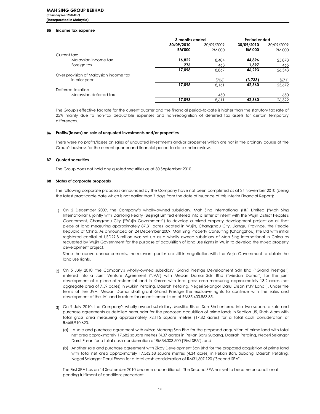(Company No.: 230149-P) (Incorporated in Malaysia)

#### **B5** Income tax expense

|                                        | 3 months ended |            | Period ended  |            |
|----------------------------------------|----------------|------------|---------------|------------|
|                                        | 30/09/2010     | 30/09/2009 | 30/09/2010    | 30/09/2009 |
|                                        | <b>RM'000</b>  | RM'000     | <b>RM'000</b> | RM'000     |
| Current tax:                           |                |            |               |            |
| Malaysian income tax                   | 16.822         | 8.404      | 44.896        | 25,878     |
| Foreign tax                            | 276            | 463        | 1.397         | 465        |
|                                        | 17,098         | 8,867      | 46.293        | 26.343     |
| Over provision of Malaysian income tax |                |            |               |            |
| in prior year                          |                | (706)      | (3,733)       | (671)      |
|                                        | 17.098         | 8.161      | 42,560        | 25.672     |
| Deferred taxation                      |                |            |               |            |
| Malaysian deferred tax                 |                | 450        |               | 650        |
|                                        | 17.098         | 8.611      | 42,560        | 26.322     |

The Group's effective tax rate for the current quarter and the financial period-to-date is higher than the statutory tax rate of 25% mainly due to non-tax deductible expenses and non-recognition of deferred tax assets for certain temporary differences

#### B6 Profits/(losses) on sale of unquoted investments and/or properties

There were no profits/losses on sales of unquoted investments and/or properties which are not in the ordinary course of the Group's business for the current quarter and financial period-to-date under review.

#### **B7** Quoted securities

The Group does not hold any quoted securities as at 30 September 2010.

#### **B8** Status of corporate proposals

The following corporate proposals announced by the Company have not been completed as at 24 November 2010 (being the latest practicable date which is not earlier than 7 days from the date of issuance of this Interim Financial Report):

1) On 2 December 2009, the Company's wholly-owned subsidiary, Mah Sing International (HK) Limited ("Mah Sing International"), jointly with Danlong Realty (Beijing) Limited entered into a letter of intent with the Wujin District People's Government, Changzhou City ("Wujin Government") to develop a mixed property development project on all that piece of land measuring approximately 87.31 acres located in Wujin, Changzhou City, Jiangsu Province, the People Republic of China. As announced on 24 December 2009, Mah Sing Property Consulting (Changzhou) Pte Ltd with initial registered capital of USD29.8 million was set up as a wholly owned subsidiary of Mah Sing International in China as requested by Wujin Government for the purpose of acquisition of land use rights in Wujin to develop the mixed property development project.

Since the above announcements, the relevant parties are still in negotiation with the Wujin Government to obtain the land use rights.

- 2) On 5 July 2010, the Company's wholly-owned subsidiary, Grand Prestige Development Sdn Bhd ("Grand Prestige") entered into a Joint Venture Agreement ("JVA") with Medan Damai Sdn Bhd ("Medan Damai") for the joint development of a piece of residential land in Kinrara with total gross area measuring approximately 13.2 acres (net aggregate area of 7.59 acres) in Mukim Petaling, Daerah Petaling, Negeri Selangor Darul Ehsan ("JV Land"). Under the terms of the JVA, Medan Damai shall grant Grand Prestige the exclusive rights to continue with the sales and development of the JV Land in return for an entitlement sum of RM35,403,863.85.
- 3) On 9 July 2010, the Company's wholly-owned subsidiary, Mestika Bistari Sdn Bhd entered into two separate sale and purchase agreements as detailed hereunder for the proposed acquisition of prime lands in Section U5, Shah Alam with total gross area measuring approximately 72,115 square metres (17.82 acres) for a total cash consideration of RM65,910,620:
	- (a) A sale and purchase agreement with Midas Menang Sdn Bhd for the proposed acquisition of prime land with total net area approximately 17,682 square metres (4.37 acres) in Pekan Baru Subang, Daerah Petaling, Negeri Selangor Darul Ehsan for a total cash consideration of RM34,303,500 ("First SPA"); and
	- (b) Another sale and purchase agreement with Zikay Development Sdn Bhd for the proposed acquisition of prime land with total net area approximately 17,562.68 square metres (4.34 acres) in Pekan Baru Subang, Daerah Petaling, Negeri Selangor Darul Ehsan for a total cash consideration of RM31,607,120 ("Second SPA").

The First SPA has on 14 September 2010 become unconditional. The Second SPA has yet to become unconditional pending fulfilment of conditions precedent.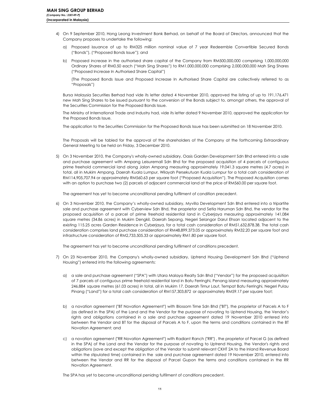- 4) On 9 September 2010, Hong Leong Investment Bank Berhad, on behalf of the Board of Directors, announced that the Company proposes to undertake the following:
	- a) Proposed issuance of up to RM325 million nominal value of 7 year Redeemble Convertible Secured Bonds ("Bonds"), ("Proposed Bonds Issue"); and
	- b) Proposed increase in the authorised share capital of the Company from RM500,000,000 comprising 1,000,000,000 Ordinary Shares of RM0.50 each ("Mah Sing Shares") to RM1,000,000,000 comprising 2,000,000,000 Mah Sing Shares ("Proposed Increase In Authorised Share Capital")

(The Proposed Bonds Issue and Proposed Increase In Authorised Share Capital are collectively referred to as "Proposals")

Bursa Malaysia Securities Berhad had vide its letter dated 4 November 2010, approved the listing of up to 191,176,471 new Mah Sing Shares to be issued pursuant to the conversion of the Bonds subject to, amongst others, the approval of the Securities Commission for the Proposed Bonds Issue.

The Ministry of International Trade and Industry had, vide its letter dated 9 November 2010, approved the application for the Proposed Bonds Issue.

The application to the Securities Commission for the Proposed Bonds Issue has been submitted on 18 November 2010.

The Proposals will be tabled for the approval of the shareholders of the Company at the forthcoming Extraordinary General Meeting to be held on Friday, 3 December 2010.

5) On 3 November 2010, the Company's wholly-owned subsidiary, Oasis Garden Development Sdn Bhd entered into a sale and purchase agreement with Ampang Leisuremall Sdn Bhd for the proposed acquisition of 4 parcels of contiguous prime freehold commercial land along Jalan Ampang measuring approximately 19,041.3 square metres (4.7 acres) in total, all in Mukim Ampang, Daerah Kuala Lumpur, Wilayah Persekutuan Kuala Lumpur for a total cash consideration of RM114,905,707.94 or approximately RM560.63 per square foot ("Proposed Acquisition"). The Proposed Acquisition comes with an option to purchase two (2) parcels of adjacent commercial land at the price of RM560.00 per square foot.

The agreement has yet to become unconditional pending fulfilment of condition precedent.

6) On 3 November 2010, the Company's wholly-owned subsidiary, Myvilla Development Sdn Bhd entered into a tripartite sale and purchase agreement with Cyberview Sdn Bhd, the proprietor and Setia Haruman Sdn Bhd, the vendor for the proposed acquisition of a parcel of prime freehold residential land in Cyberjaya measuring approximately 141,084 square metres (34.86 acres) in Mukim Dengkil, Daerah Sepang, Negeri Selangor Darul Ehsan located adjacent to the existing 115.25 acres Garden Residence in Cyberjaya, for a total cash consideration of RM51,632,878.38. The total cash consideration comprises land purchase consideration of RM48,899,373.05 or approximately RM32.20 per square foot and infrastructure consideration of RM2,733,505.33 or approximately RM1.80 per square foot.

The agreement has yet to become unconditional pending fulfilment of conditions precedent.

- 7) On 23 November 2010, the Company's wholly-owned subsidiary, Uptrend Housing Development Sdn Bhd ("Uptrend Housing") entered into the following agreements:
	- a) a sale and purchase agreement ("SPA") with Utara Malaya Realty Sdn Bhd ("Vendor") for the proposed acquisition of 7 parcels of contiguous prime freehold residential land in Batu Ferringhi, Penang island measuring approximately 246,884 square metres (61.03 acres) in total, all in Mukim 17, Daerah Timur Laut, Tempat Batu Ferringhi, Negeri Pulau Pinang ("Land") for a total cash consideration of RM157,303,872 or approximately RM59.17 per square foot;
	- b) a novation agreement ("BT Novation Agreement") with Blossom Time Sdn Bhd ("BT"), the proprietor of Parcels A to F (as defined in the SPA) of the Land and the Vendor for the purpose of novating to Uptrend Housing, the Vendor's rights and obligations contained in a sale and purchase agreement dated 19 November 2010 entered into between the Vendor and BT for the disposal of Parcels A to F, upon the terms and conditions contained in the BT Novation Agreement; and
	- c) a novation agreement ("RR Novation Agreement") with Radiant Ranch ("RR"), the proprietor of Parcel G (as defined in the SPA) of the Land and the Vendor for the purpose of novating to Uptrend Housing, the Vendor's rights and obligations (save and except the obligation of the Vendor to submit relevant CKHT 2A to the Inland Revenue Board within the stipulated time) contained in the sale and purchase agreement dated 19 November 2010, entered into between the Vendor and RR for the disposal of Parcel Gupon the terms and conditions contained in the RR Novation Agreement.

The SPA has yet to become unconditional penidng fulfilment of conditions precedent.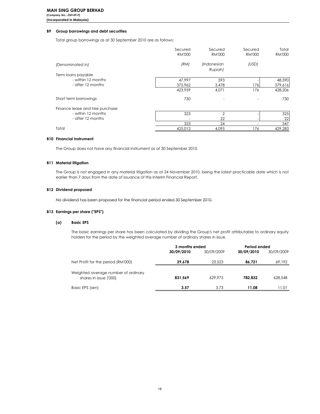### **B9** Group borrowings and debt securities

Total group borrowings as at 30 September 2010 are as follows:

|                                 | Secured       | Secured        | Secured       | Total         |
|---------------------------------|---------------|----------------|---------------|---------------|
|                                 | <b>RM'000</b> | <b>RM'000</b>  | <b>RM'000</b> | <b>RM'000</b> |
| (Denominated in)                | (RM)          | (Indonesian    | (USD)         |               |
|                                 |               | Rupiah)        |               |               |
| Term loans payable              |               |                |               |               |
| - within 12 months              | 47,997        | 593            |               | 48,590        |
| - after 12 months               | 375,962       | 3,478          | 176           | 379,616       |
|                                 | 423,959       | 4,071          | 176           | 428,206       |
| Short term borrowings           | 730           |                |               | 730           |
| Finance lease and hire purchase |               |                |               |               |
| - within 12 months              | 323           | $\overline{2}$ |               | 325           |
| - after 12 months               |               | 22             |               | 22            |
|                                 | 323           | 24             |               | 347           |
| Total                           | 425,012       | 4,095          | 176           | 429,283       |

#### **B10 Financial Instrument**

The Group does not have any financial instrument as at 30 September 2010.

#### **B11 Material litigation**

The Group is not engaged in any material litigation as at 24 November 2010, being the latest practicable date which is not earlier than 7 days from the date of issuance of this Interim Financial Report.

### **B12 Dividend proposed**

No dividend has been proposed for the financial period ended 30 September 2010.

### **B13 Earnings per share ("EPS")**

#### $(a)$ **Basic EPS**

The basic earnings per share has been calculated by dividing the Group's net profit attributable to ordinary equity holders for the period by the weighted average number of ordinary shares in issue.

|                                     | 3 months ended |            | Period ended |            |
|-------------------------------------|----------------|------------|--------------|------------|
|                                     | 30/09/2010     | 30/09/2009 | 30/09/2010   | 30/09/2009 |
| Net Profit for the period (RM'000)  | 29.678         | 23,523     | 86.721       | 69,192     |
| Weighted average number of ordinary |                |            |              |            |
| shares in issue ('000)              | 831,569        | 629.975    | 782.832      | 628,548    |
| Basic EPS (sen)                     | 3.57           | 3.73       | 11.08        | 11.01      |